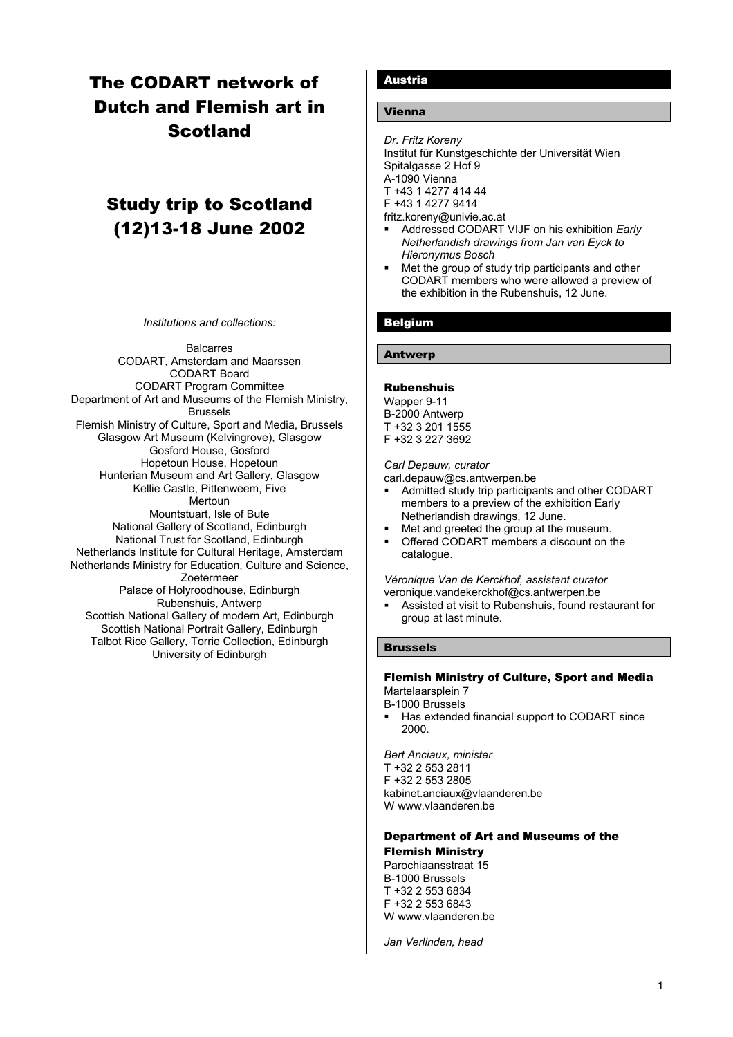# The CODART network of Dutch and Flemish art in **Scotland**

# Study trip to Scotland (12)13-18 June 2002

*Institutions and collections:*

**Balcarres** CODART, Amsterdam and Maarssen CODART Board CODART Program Committee Department of Art and Museums of the Flemish Ministry, Brussels Flemish Ministry of Culture, Sport and Media, Brussels Glasgow Art Museum (Kelvingrove), Glasgow Gosford House, Gosford Hopetoun House, Hopetoun Hunterian Museum and Art Gallery, Glasgow Kellie Castle, Pittenweem, Five Mertoun Mountstuart, Isle of Bute National Gallery of Scotland, Edinburgh National Trust for Scotland, Edinburgh Netherlands Institute for Cultural Heritage, Amsterdam Netherlands Ministry for Education, Culture and Science, Zoetermeer Palace of Holyroodhouse, Edinburgh Rubenshuis, Antwerp Scottish National Gallery of modern Art, Edinburgh Scottish National Portrait Gallery, Edinburgh Talbot Rice Gallery, Torrie Collection, Edinburgh University of Edinburgh

## Austria

## Vienna

*Dr. Fritz Koreny* Institut für Kunstgeschichte der Universität Wien Spitalgasse 2 Hof 9 A-1090 Vienna T +43 1 4277 414 44 F +43 1 4277 9414 fritz.koreny@univie.ac.at

- Addressed CODART VIJF on his exhibition *Early Netherlandish drawings from Jan van Eyck to Hieronymus Bosch*
- Met the group of study trip participants and other CODART members who were allowed a preview of the exhibition in the Rubenshuis, 12 June.

# Belgium

## Antwerp

#### Rubenshuis

Wapper 9-11 B-2000 Antwerp T +32 3 201 1555 F +32 3 227 3692

*Carl Depauw, curator*

carl.depauw@cs.antwerpen.be

- Admitted study trip participants and other CODART members to a preview of the exhibition Early Netherlandish drawings, 12 June.
- Met and greeted the group at the museum.
- Offered CODART members a discount on the catalogue.

*Véronique Van de Kerckhof, assistant curator* veronique.vandekerckhof@cs.antwerpen.be

 Assisted at visit to Rubenshuis, found restaurant for group at last minute.

## Brussels

#### Flemish Ministry of Culture, Sport and Media Martelaarsplein 7

B-1000 Brussels

 Has extended financial support to CODART since 2000.

*Bert Anciaux, minister* T +32 2 553 2811 F +32 2 553 2805 kabinet.anciaux@vlaanderen.be W www.vlaanderen.be

## Department of Art and Museums of the

#### Flemish Ministry

Parochiaansstraat 15 B-1000 Brussels T +32 2 553 6834 F +32 2 553 6843 W www.vlaanderen.be

*Jan Verlinden, head*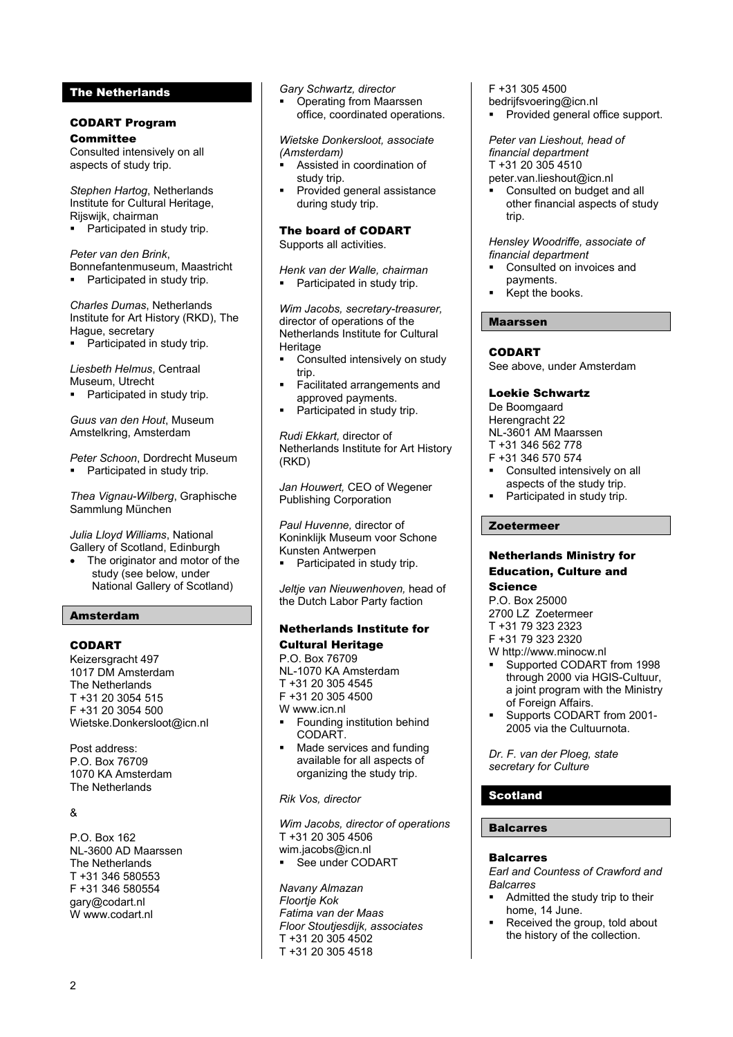## The Netherlands

#### CODART Program **Committee**

Consulted intensively on all aspects of study trip.

*Stephen Hartog*, Netherlands Institute for Cultural Heritage, Rijswijk, chairman

Participated in study trip.

*Peter van den Brink*, Bonnefantenmuseum, Maastricht

• Participated in study trip.

*Charles Dumas*, Netherlands Institute for Art History (RKD), The Hague, secretary

• Participated in study trip.

*Liesbeth Helmus*, Centraal Museum, Utrecht

Participated in study trip.

*Guus van den Hout*, Museum Amstelkring, Amsterdam

*Peter Schoon*, Dordrecht Museum • Participated in study trip.

*Thea Vignau-Wilberg*, Graphische Sammlung München

*Julia Lloyd Williams*, National Gallery of Scotland, Edinburgh

The originator and motor of the study (see below, under National Gallery of Scotland)

# Amsterdam

## CODART

Keizersgracht 497 1017 DM Amsterdam The Netherlands T +31 20 3054 515 F +31 20 3054 500 Wietske.Donkersloot@icn.nl

Post address: P.O. Box 76709 1070 KA Amsterdam The Netherlands

## &

P.O. Box 162 NL-3600 AD Maarssen The Netherlands T +31 346 580553 F +31 346 580554 [gary@codart.nl](mailto:gary@codart.nl) W [www.codart.nl](http://www.codart.nl/)

*Gary Schwartz, director*

 Operating from Maarssen office, coordinated operations.

*Wietske Donkersloot, associate (Amsterdam)*

- Assisted in coordination of study trip.
- Provided general assistance during study trip.

The board of CODART

Supports all activities.

*Henk van der Walle, chairman* Participated in study trip.

*Wim Jacobs, secretary-treasurer,* director of operations of the Netherlands Institute for Cultural Heritage

- Consulted intensively on study trip.
- Facilitated arrangements and approved payments.
- Participated in study trip.

*Rudi Ekkart,* director of Netherlands Institute for Art History (RKD)

*Jan Houwert,* CEO of Wegener Publishing Corporation

*Paul Huvenne,* director of Koninklijk Museum voor Schone Kunsten Antwerpen Participated in study trip.

*Jeltje van Nieuwenhoven,* head of the Dutch Labor Party faction

## Netherlands Institute for Cultural Heritage

P.O. Box 76709 NL-1070 KA Amsterdam T +31 20 305 4545 F +31 20 305 4500 W www.icn.nl

- **Founding institution behind** CODART.
- Made services and funding available for all aspects of organizing the study trip.

*Rik Vos, director*

*Wim Jacobs, director of operations*  T +31 20 305 4506 wim.jacobs@icn.nl **See under CODART** 

*Navany Almazan Floortje Kok Fatima van der Maas Floor Stoutjesdijk, associates* T +31 20 305 4502 T +31 20 305 4518

F +31 305 4500

- bedrijfsvoering@icn.nl
- Provided general office support.

*Peter van Lieshout, head of financial department* T +31 20 305 4510 peter.van.lieshout@icn.nl

 Consulted on budget and all other financial aspects of study trip.

#### *Hensley Woodriffe, associate of financial department*

- Consulted on invoices and payments.
- Kept the books.

## Maarssen

## CODART

See above, under Amsterdam

#### Loekie Schwartz

De Boomgaard Herengracht 22 NL-3601 AM Maarssen

T +31 346 562 778

- F +31 346 570 574
- Consulted intensively on all aspects of the study trip.
- Participated in study trip.

## Zoetermeer

#### Netherlands Ministry for Education, Culture and Science

# P.O. Box 25000

2700 LZ Zoetermeer

- T +31 79 323 2323
- F +31 79 323 2320
- W [http://www.minocw.nl](http://www.minocw.nl/)
- Supported CODART from 1998 through 2000 via HGIS-Cultuur, a joint program with the Ministry of Foreign Affairs.
- Supports CODART from 2001- 2005 via the Cultuurnota.

*Dr. F. van der Ploeg, state secretary for Culture*

# Scotland

#### Balcarres

#### Balcarres

*Earl and Countess of Crawford and Balcarres*

- Admitted the study trip to their home, 14 June.
- Received the group, told about the history of the collection.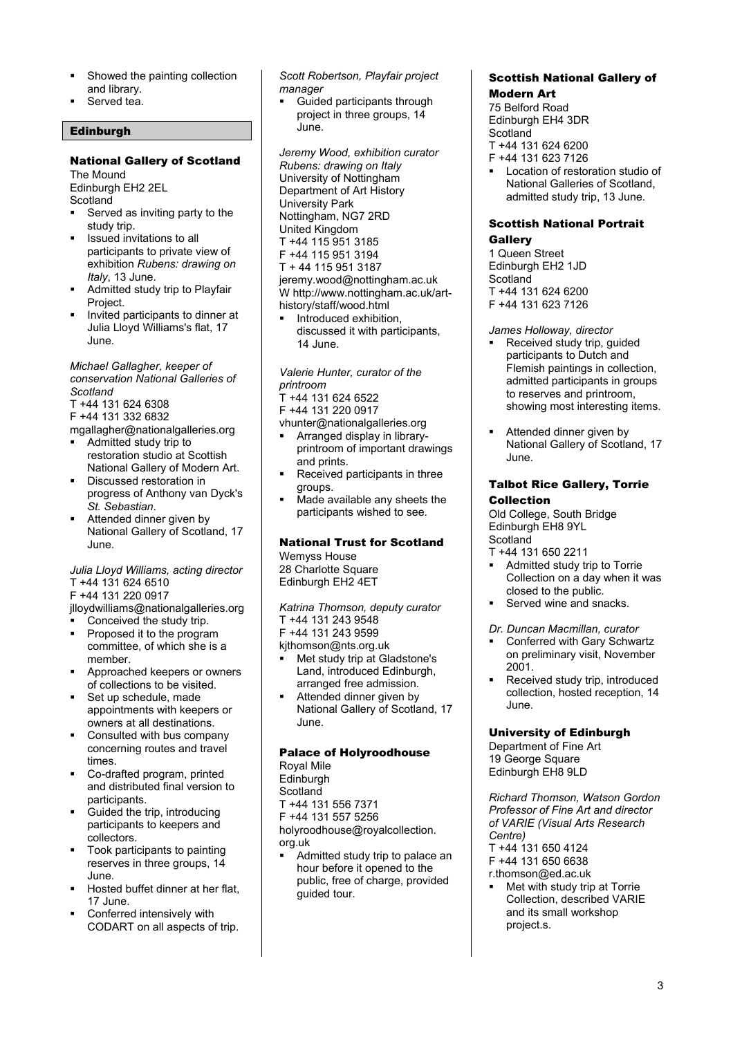- Showed the painting collection and library.
- Served tea.

## **Edinburgh**

## National Gallery of Scotland

The Mound Edinburgh EH2 2EL **Scotland** 

- Served as inviting party to the study trip.
- Issued invitations to all participants to private view of exhibition *Rubens: drawing on Italy*, 13 June.
- Admitted study trip to Playfair Project.
- Invited participants to dinner at Julia Lloyd Williams's flat, 17 June.

*Michael Gallagher, keeper of conservation National Galleries of Scotland*

- T +44 131 624 6308
- F +44 131 332 6832
- mgallagher@nationalgalleries.org
- Admitted study trip to restoration studio at Scottish National Gallery of Modern Art.
- Discussed restoration in progress of Anthony van Dyck's *St. Sebastian*.
- Attended dinner given by National Gallery of Scotland, 17 June.

#### *Julia Lloyd Williams, acting director* T +44 131 624 6510

F +44 131 220 0917

jlloydwilliams@nationalgalleries.org

- Conceived the study trip.
- Proposed it to the program committee, of which she is a member.
- Approached keepers or owners of collections to be visited.
- Set up schedule, made appointments with keepers or owners at all destinations.
- Consulted with bus company concerning routes and travel times.
- Co-drafted program, printed and distributed final version to participants.
- Guided the trip, introducing participants to keepers and collectors.
- Took participants to painting reserves in three groups, 14 June.
- Hosted buffet dinner at her flat, 17 June.
- Conferred intensively with CODART on all aspects of trip.

*Scott Robertson, Playfair project manager*

 Guided participants through project in three groups, 14 June.

*Jeremy Wood, exhibition curator Rubens: drawing on Italy* University of Nottingham Department of Art History University Park Nottingham, NG7 2RD United Kingdom T +44 115 951 3185 F +44 115 951 3194 T + 44 115 951 3187 jeremy.wood@nottingham.ac.uk W http://www.nottingham.ac.uk/arthistory/staff/wood.html

 Introduced exhibition, discussed it with participants, 14 June.

*Valerie Hunter, curator of the printroom*

T +44 131 624 6522

F +44 131 220 0917

- vhunter@nationalgalleries.org
- Arranged display in libraryprintroom of important drawings and prints.
- Received participants in three groups.
- Made available any sheets the participants wished to see.

# National Trust for Scotland

Wemyss House 28 Charlotte Square Edinburgh EH2 4ET

*Katrina Thomson, deputy curator* T +44 131 243 9548 F +44 131 243 9599

kjthomson@nts.org.uk

- Met study trip at Gladstone's Land, introduced Edinburgh, arranged free admission.
- Attended dinner given by National Gallery of Scotland, 17 June.

# Palace of Holyroodhouse

Royal Mile **Edinburgh Scotland** T +44 131 556 7371 F +44 131 557 5256 holyroodhouse@royalcollection. org.uk

 Admitted study trip to palace an hour before it opened to the public, free of charge, provided guided tour.

#### Scottish National Gallery of Modern Art

75 Belford Road Edinburgh EH4 3DR **Scotland** T +44 131 624 6200

- F +44 131 623 7126
- Location of restoration studio of National Galleries of Scotland, admitted study trip, 13 June.

## Scottish National Portrait **Gallery**

1 Queen Street Edinburgh EH2 1JD Scotland T +44 131 624 6200 F +44 131 623 7126

## *James Holloway, director*

- Received study trip, guided participants to Dutch and Flemish paintings in collection, admitted participants in groups to reserves and printroom, showing most interesting items.
- Attended dinner given by National Gallery of Scotland, 17 June.

## Talbot Rice Gallery, Torrie Collection

Old College, South Bridge Edinburgh EH8 9YL **Scotland** 

- T +44 131 650 2211
- Admitted study trip to Torrie Collection on a day when it was closed to the public.
- Served wine and snacks.

## *Dr. Duncan Macmillan, curator*

- Conferred with Gary Schwartz on preliminary visit, November 2001.
- Received study trip, introduced collection, hosted reception, 14 June.

## University of Edinburgh

Department of Fine Art 19 George Square Edinburgh EH8 9LD

*Richard Thomson, Watson Gordon Professor of Fine Art and director of VARIE (Visual Arts Research Centre)* T +44 131 650 4124

F +44 131 650 6638

- r.thomson@ed.ac.uk
- Met with study trip at Torrie Collection, described VARIE and its small workshop project.s.